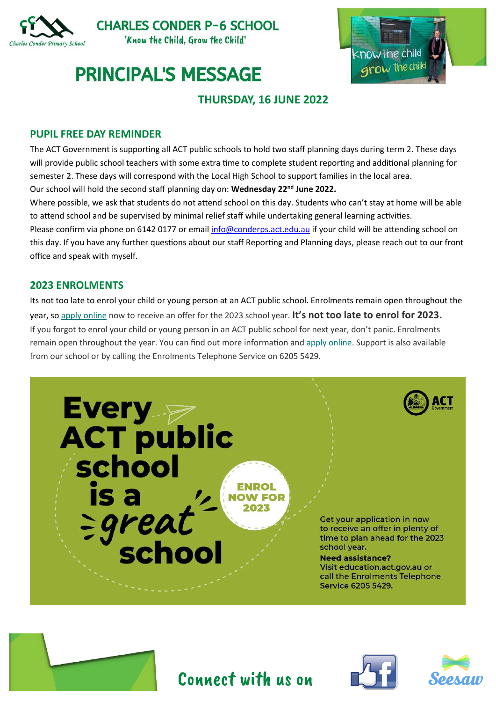

**CHARLES CONDER P-6 SCHOOL** 'Know the Child, Grow the Child'



## **PRINCIPAL'S MESSAGE**

## **THURSDAY, 16 JUNE 2022**

#### **PUPIL FREE DAY REMINDER**

The ACT Government is supporting all ACT public schools to hold two staff planning days during term 2. These days will provide public school teachers with some extra time to complete student reporting and additional planning for semester 2. These days will correspond with the Local High School to support families in the local area.

Our school will hold the second staff planning day on: **Wednesday 22nd June 2022.**

Where possible, we ask that students do not attend school on this day. Students who can't stay at home will be able to attend school and be supervised by minimal relief staff while undertaking general learning activities.

Please confirm via phone on 6142 0177 or email [info@conderps.act.edu.au](mailto:info@conderps.act.edu.au) if your child will be attending school on this day. If you have any further questions about our staff Reporting and Planning days, please reach out to our front office and speak with myself.

### **2023 ENROLMENTS**

Its not too late to enrol your child or young person at an ACT public school. Enrolments remain open throughout the year, so [apply online](https://www.education.act.gov.au/public-school-life/enrolling-in-a-public-school) now to receive an offer for the 2023 school year. **It's not too late to enrol for 2023.** If you forgot to enrol your child or young person in an ACT public school for next year, don't panic. Enrolments remain open throughout the year. You can find out more information and [apply online.](https://www.education.act.gov.au/public-school-life/enrolling-in-a-public-school) Support is also available from our school or by calling the Enrolments Telephone Service on 6205 5429.









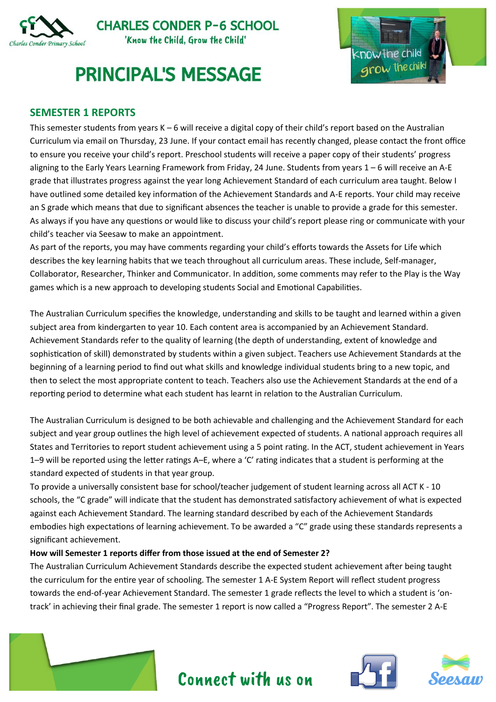

## **PRINCIPAL'S MESSAGE**



### **SEMESTER 1 REPORTS**

This semester students from years K – 6 will receive a digital copy of their child's report based on the Australian Curriculum via email on Thursday, 23 June. If your contact email has recently changed, please contact the front office to ensure you receive your child's report. Preschool students will receive a paper copy of their students' progress aligning to the Early Years Learning Framework from Friday, 24 June. Students from years 1 – 6 will receive an A-E grade that illustrates progress against the year long Achievement Standard of each curriculum area taught. Below I have outlined some detailed key information of the Achievement Standards and A-E reports. Your child may receive an S grade which means that due to significant absences the teacher is unable to provide a grade for this semester. As always if you have any questions or would like to discuss your child's report please ring or communicate with your child's teacher via Seesaw to make an appointment.

As part of the reports, you may have comments regarding your child's efforts towards the Assets for Life which describes the key learning habits that we teach throughout all curriculum areas. These include, Self-manager, Collaborator, Researcher, Thinker and Communicator. In addition, some comments may refer to the Play is the Way games which is a new approach to developing students Social and Emotional Capabilities.

The Australian Curriculum specifies the knowledge, understanding and skills to be taught and learned within a given subject area from kindergarten to year 10. Each content area is accompanied by an Achievement Standard. Achievement Standards refer to the quality of learning (the depth of understanding, extent of knowledge and sophistication of skill) demonstrated by students within a given subject. Teachers use Achievement Standards at the beginning of a learning period to find out what skills and knowledge individual students bring to a new topic, and then to select the most appropriate content to teach. Teachers also use the Achievement Standards at the end of a reporting period to determine what each student has learnt in relation to the Australian Curriculum.

The Australian Curriculum is designed to be both achievable and challenging and the Achievement Standard for each subject and year group outlines the high level of achievement expected of students. A national approach requires all States and Territories to report student achievement using a 5 point rating. In the ACT, student achievement in Years 1–9 will be reported using the letter ratings A–E, where a 'C' rating indicates that a student is performing at the standard expected of students in that year group.

To provide a universally consistent base for school/teacher judgement of student learning across all ACT K - 10 schools, the "C grade" will indicate that the student has demonstrated satisfactory achievement of what is expected against each Achievement Standard. The learning standard described by each of the Achievement Standards embodies high expectations of learning achievement. To be awarded a "C" grade using these standards represents a significant achievement.

#### **How will Semester 1 reports differ from those issued at the end of Semester 2?**

The Australian Curriculum Achievement Standards describe the expected student achievement after being taught the curriculum for the entire year of schooling. The semester 1 A-E System Report will reflect student progress towards the end-of-year Achievement Standard. The semester 1 grade reflects the level to which a student is 'ontrack' in achieving their final grade. The semester 1 report is now called a "Progress Report". The semester 2 A-E

Connect with us on





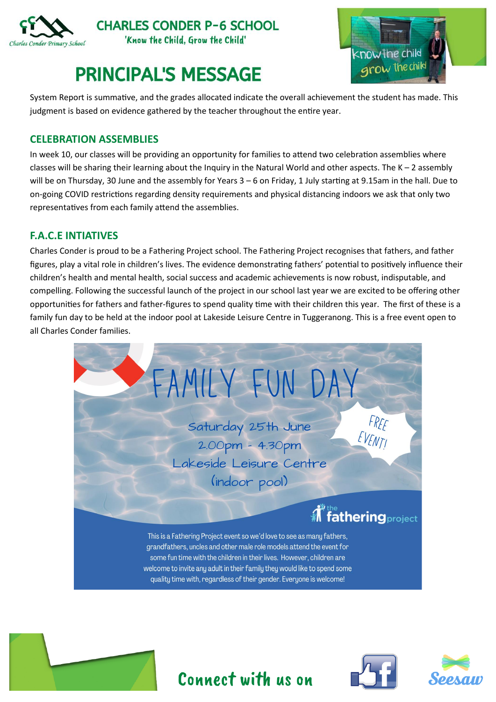

**CHARLES CONDER P-6 SCHOOL** 'Know the Child, Grow the Child'

# **PRINCIPAL'S MESSAGE**



System Report is summative, and the grades allocated indicate the overall achievement the student has made. This judgment is based on evidence gathered by the teacher throughout the entire year.

### **CELEBRATION ASSEMBLIES**

In week 10, our classes will be providing an opportunity for families to attend two celebration assemblies where classes will be sharing their learning about the Inquiry in the Natural World and other aspects. The  $K - 2$  assembly will be on Thursday, 30 June and the assembly for Years 3 – 6 on Friday, 1 July starting at 9.15am in the hall. Due to on-going COVID restrictions regarding density requirements and physical distancing indoors we ask that only two representatives from each family attend the assemblies.

#### **F.A.C.E INTIATIVES**

Charles Conder is proud to be a Fathering Project school. The Fathering Project recognises that fathers, and father figures, play a vital role in children's lives. The evidence demonstrating fathers' potential to positively influence their children's health and mental health, social success and academic achievements is now robust, indisputable, and compelling. Following the successful launch of the project in our school last year we are excited to be offering other opportunities for fathers and father-figures to spend quality time with their children this year. The first of these is a family fun day to be held at the indoor pool at Lakeside Leisure Centre in Tuggeranong. This is a free event open to all Charles Conder families.



Connect with us on

![](_page_2_Picture_10.jpeg)

![](_page_2_Picture_11.jpeg)

![](_page_2_Picture_12.jpeg)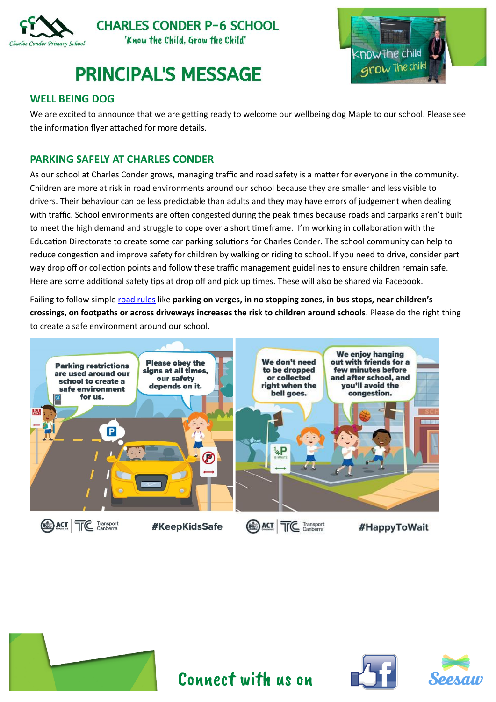![](_page_3_Picture_0.jpeg)

**PRINCIPAL'S MESSAGE** 

![](_page_3_Picture_2.jpeg)

### **WELL BEING DOG**

We are excited to announce that we are getting ready to welcome our wellbeing dog Maple to our school. Please see the information flyer attached for more details.

### **PARKING SAFELY AT CHARLES CONDER**

As our school at Charles Conder grows, managing traffic and road safety is a matter for everyone in the community. Children are more at risk in road environments around our school because they are smaller and less visible to drivers. Their behaviour can be less predictable than adults and they may have errors of judgement when dealing with traffic. School environments are often congested during the peak times because roads and carparks aren't built to meet the high demand and struggle to cope over a short timeframe. I'm working in collaboration with the Education Directorate to create some car parking solutions for Charles Conder. The school community can help to reduce congestion and improve safety for children by walking or riding to school. If you need to drive, consider part way drop off or collection points and follow these traffic management guidelines to ensure children remain safe. Here are some additional safety tips at drop off and pick up times. These will also be shared via Facebook.

Failing to follow simpl[e road rules](https://www.transport.act.gov.au/__data/assets/pdf_file/0008/1258766/Traffic-management.pdf) like **parking on verges, in no stopping zones, in bus stops, near children's crossings, on footpaths or across driveways increases the risk to children around schools**. Please do the right thing to create a safe environment around our school.

![](_page_3_Picture_8.jpeg)

![](_page_3_Picture_9.jpeg)

![](_page_3_Picture_10.jpeg)

![](_page_3_Picture_11.jpeg)

Connect with us on